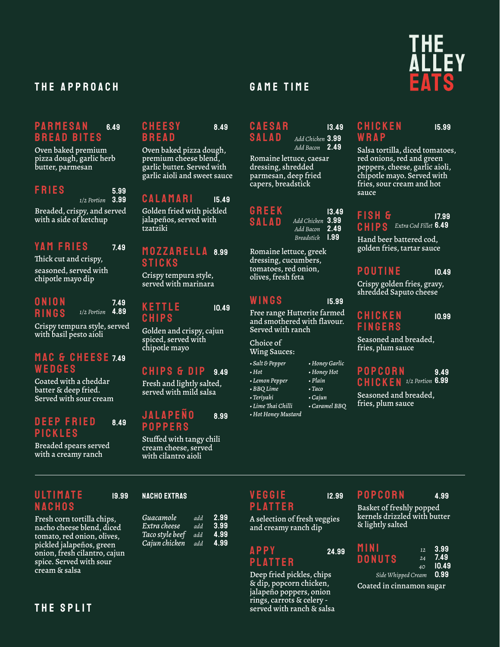

# THE APPROACH GAME TIME

## PARMESAN 6.49 Bread Bites

Oven baked premium pizza dough, garlic herb butter, parmesan

#### FRIES 5.99

*1/2 Portion* 3.99

Breaded, crispy, and served with a side of ketchup

# YAM FRIES 7.49

Thick cut and crispy, seasoned, served with chipotle mayo dip

| ONION        |                       | 7.49 |
|--------------|-----------------------|------|
| <b>RINGS</b> | $_{1/2}$ Portion 4.89 |      |

Crispy tempura style, served with basil pesto aioli

# MAC & CHEESE 7.49 **WEDGES**

Coated with a cheddar batter & deep fried. Served with sour cream

# DEEP FRIED 8.49 PICKLES

Breaded spears served with a creamy ranch

### CHEESY 8.49 Bread

Oven baked pizza dough, premium cheese blend, garlic butter. Served with garlic aioli and sweet sauce

CALAMARI 15.49 Golden fried with pickled jalapeños, served with tzatziki

# Mozzarella 8.99 **STICKS**

Crispy tempura style, served with marinara

#### KETTLE 10.49 **CHIPS**

Golden and crispy, cajun spiced, served with chipotle mayo

### Chips & Dip 9.49

Fresh and lightly salted, served with mild salsa

## JALAPEÑO 8.99 POPPERS

Stuffed with tangy chili cream cheese, served with cilantro aioli

## $\begin{array}{cc}\n\text{CA} & \text{ES} & \text{BA} \\
\text{SALAD} & \text{Add Chapter 3.99}\n\end{array}$ Salad *Add Chicken* 3.99

*Add Bacon* 2.49 Romaine lettuce, caesar

dressing, shredded parmesan, deep fried capers, breadstick

#### **GREEK** 13.49<br>SALAD Add Chicken 3.99 Salad *Add Chicken* 3.99 *Add Bacon* 2.49

*Breadstick* 1.99

Romaine lettuce, greek dressing, cucumbers, tomatoes, red onion, olives, fresh feta

#### WINGS 15.99

Free range Hutterite farmed and smothered with flavour. Served with ranch

# Choice of

#### CHICKEN 15.99 **WRAP**

Salsa tortilla, diced tomatoes, red onions, red and green peppers, cheese, garlic aioli, chipotle mayo. Served with fries, sour cream and hot sauce

#### Fish & 17.99 CHIPS *Extra Cod Fillet* 6.49

Hand beer battered cod, golden fries, tartar sauce

### POUTINE 10.49

Crispy golden fries, gravy, shredded Saputo cheese

#### CHICKEN 10.99 Fingers

Seasoned and breaded, fries, plum sauce

#### POPCORN 9.49 **CHICKEN** 1/2 Portion 6.99

Seasoned and breaded, fries, plum sauce

# ULTIMATE 19.99 Nachos

Fresh corn tortilla chips, nacho cheese blend, diced tomato, red onion, olives, pickled jalapeños, green onion, fresh cilantro, cajun spice. Served with sour cream & salsa

# NACHO EXTRAS

| Guacamole       | add | 2.99 |
|-----------------|-----|------|
| Extra cheese    | add | 3.99 |
| Taco style beef | add | 4.99 |
| Cajun chicken   | add | 4.99 |

## VEGGIE 12.99 PLATTER

A selection of fresh veggies and creamy ranch dip

### $APPY$  24.99 **PLATTER**

Deep fried pickles, chips & dip, popcorn chicken, jalapeño poppers, onion rings, carrots & celery - THE SPLIT served with ranch & salsa

## POPCORN 4.99

Basket of freshly popped kernels drizzled with butter & lightly salted

| MINI   | 12.    | 3.99      |
|--------|--------|-----------|
| DONUTS |        | $24$ 7.49 |
|        | $40-1$ | 10.49     |
|        |        |           |

Coated in cinnamon sugar

# Wing Sauces: *• Salt & Pepper • Honey Garlic • Hot • Honey Hot*

*• Lemon Pepper • Plain • BBQ Lime • Taco • Teriyaki • Cajun*

*• Lime Thai Chilli • Caramel BBQ* 

*• Hot Honey Mustard*